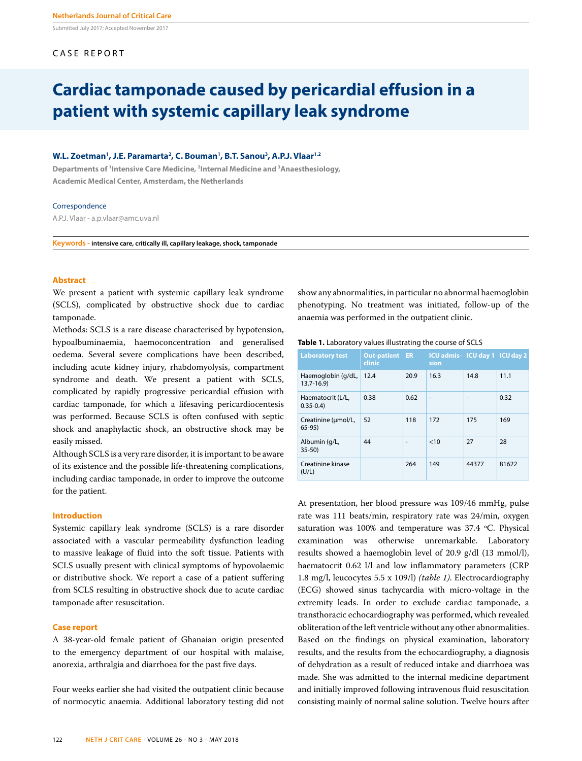Submitted July 2017; Accepted November 2017

# CASE REPORT

# **Cardiac tamponade caused by pericardial effusion in a patient with systemic capillary leak syndrome**

# W.L. Zoetman<sup>1</sup>, J.E. Paramarta<sup>2</sup>, C. Bouman<sup>1</sup>, B.T. Sanou<sup>3</sup>, A.P.J. Vlaar<sup>1,2</sup>

**Departments of 1 Intensive Care Medicine, 2 Internal Medicine and 3 Anaesthesiology, Academic Medical Center, Amsterdam, the Netherlands**

#### **Correspondence**

A.P.J. Vlaar - a.p.vlaar@amc.uva.nl

**Keywords - intensive care, critically ill, capillary leakage, shock, tamponade**

# **Abstract**

We present a patient with systemic capillary leak syndrome (SCLS), complicated by obstructive shock due to cardiac tamponade.

Methods: SCLS is a rare disease characterised by hypotension, hypoalbuminaemia, haemoconcentration and generalised oedema. Several severe complications have been described, including acute kidney injury, rhabdomyolysis, compartment syndrome and death. We present a patient with SCLS, complicated by rapidly progressive pericardial effusion with cardiac tamponade, for which a lifesaving pericardiocentesis was performed. Because SCLS is often confused with septic shock and anaphylactic shock, an obstructive shock may be easily missed.

Although SCLS is a very rare disorder, it is important to be aware of its existence and the possible life-threatening complications, including cardiac tamponade, in order to improve the outcome for the patient.

#### **Introduction**

Systemic capillary leak syndrome (SCLS) is a rare disorder associated with a vascular permeability dysfunction leading to massive leakage of fluid into the soft tissue. Patients with SCLS usually present with clinical symptoms of hypovolaemic or distributive shock. We report a case of a patient suffering from SCLS resulting in obstructive shock due to acute cardiac tamponade after resuscitation.

#### **Case report**

A 38-year-old female patient of Ghanaian origin presented to the emergency department of our hospital with malaise, anorexia, arthralgia and diarrhoea for the past five days.

Four weeks earlier she had visited the outpatient clinic because of normocytic anaemia. Additional laboratory testing did not show any abnormalities, in particular no abnormal haemoglobin phenotyping. No treatment was initiated, follow-up of the anaemia was performed in the outpatient clinic.

| Table 1. Laboratory values illustrating the course of SCLS |  |
|------------------------------------------------------------|--|
|------------------------------------------------------------|--|

| <b>Laboratory test</b>              | <b>Out-patient</b><br>clinic | <b>ER</b>                | ICU admis-ICU day 1 ICU day 2<br>sion |       |       |
|-------------------------------------|------------------------------|--------------------------|---------------------------------------|-------|-------|
| Haemoglobin (g/dL,<br>$13.7 - 16.9$ | 12.4                         | 20.9                     | 16.3                                  | 14.8  | 11.1  |
| Haematocrit (L/L,<br>$0.35 - 0.4$   | 0.38                         | 0.62                     | ٠                                     | ۰     | 0.32  |
| Creatinine (umol/L,<br>$65-95$      | 52                           | 118                      | 172                                   | 175   | 169   |
| Albumin (g/L,<br>$35 - 50$          | 44                           | $\overline{\phantom{a}}$ | < 10                                  | 27    | 28    |
| Creatinine kinase<br>(U/L)          |                              | 264                      | 149                                   | 44377 | 81622 |

At presentation, her blood pressure was 109/46 mmHg, pulse rate was 111 beats/min, respiratory rate was 24/min, oxygen saturation was 100% and temperature was 37.4 ºC. Physical examination was otherwise unremarkable. Laboratory results showed a haemoglobin level of 20.9 g/dl (13 mmol/l), haematocrit 0.62 l/l and low inflammatory parameters (CRP 1.8 mg/l, leucocytes 5.5 x 109/l) *(table 1)*. Electrocardiography (ECG) showed sinus tachycardia with micro-voltage in the extremity leads. In order to exclude cardiac tamponade, a transthoracic echocardiography was performed, which revealed obliteration of the left ventricle without any other abnormalities. Based on the findings on physical examination, laboratory results, and the results from the echocardiography, a diagnosis of dehydration as a result of reduced intake and diarrhoea was made. She was admitted to the internal medicine department and initially improved following intravenous fluid resuscitation consisting mainly of normal saline solution. Twelve hours after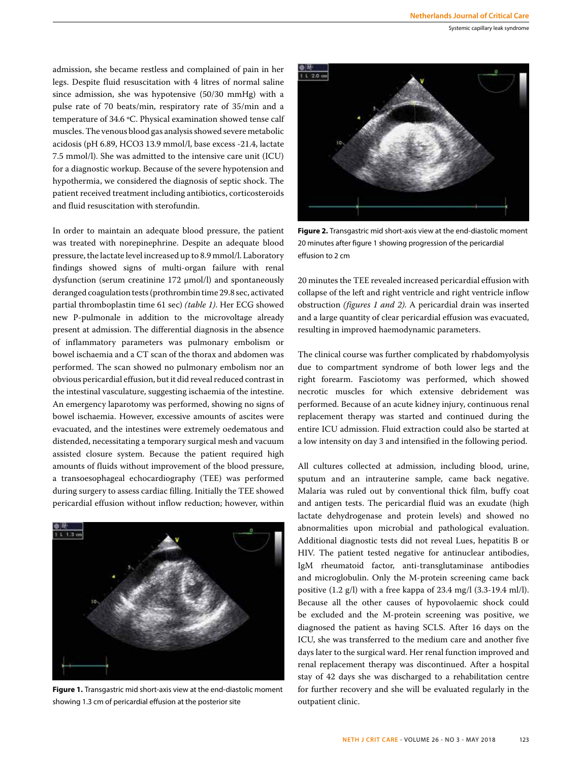admission, she became restless and complained of pain in her legs. Despite fluid resuscitation with 4 litres of normal saline since admission, she was hypotensive (50/30 mmHg) with a pulse rate of 70 beats/min, respiratory rate of 35/min and a temperature of 34.6 ºC. Physical examination showed tense calf muscles. The venous blood gas analysis showed severe metabolic acidosis (pH 6.89, HCO3 13.9 mmol/l, base excess -21.4, lactate 7.5 mmol/l). She was admitted to the intensive care unit (ICU) for a diagnostic workup. Because of the severe hypotension and hypothermia, we considered the diagnosis of septic shock. The patient received treatment including antibiotics, corticosteroids and fluid resuscitation with sterofundin.

In order to maintain an adequate blood pressure, the patient was treated with norepinephrine. Despite an adequate blood pressure, the lactate level increased up to 8.9 mmol/l. Laboratory findings showed signs of multi-organ failure with renal dysfunction (serum creatinine 172 µmol/l) and spontaneously deranged coagulation tests (prothrombin time 29.8 sec, activated partial thromboplastin time 61 sec) *(table 1)*. Her ECG showed new P-pulmonale in addition to the microvoltage already present at admission. The differential diagnosis in the absence of inflammatory parameters was pulmonary embolism or bowel ischaemia and a CT scan of the thorax and abdomen was performed. The scan showed no pulmonary embolism nor an obvious pericardial effusion, but it did reveal reduced contrast in the intestinal vasculature, suggesting ischaemia of the intestine. An emergency laparotomy was performed, showing no signs of bowel ischaemia. However, excessive amounts of ascites were evacuated, and the intestines were extremely oedematous and distended, necessitating a temporary surgical mesh and vacuum assisted closure system. Because the patient required high amounts of fluids without improvement of the blood pressure, a transoesophageal echocardiography (TEE) was performed during surgery to assess cardiac filling. Initially the TEE showed pericardial effusion without inflow reduction; however, within



**Figure 1.** Transgastric mid short-axis view at the end-diastolic moment showing 1.3 cm of pericardial effusion at the posterior site



**Figure 2.** Transgastric mid short-axis view at the end-diastolic moment 20 minutes after figure 1 showing progression of the pericardial effusion to 2 cm

20 minutes the TEE revealed increased pericardial effusion with collapse of the left and right ventricle and right ventricle inflow obstruction *(figures 1 and 2)*. A pericardial drain was inserted and a large quantity of clear pericardial effusion was evacuated, resulting in improved haemodynamic parameters.

The clinical course was further complicated by rhabdomyolysis due to compartment syndrome of both lower legs and the right forearm. Fasciotomy was performed, which showed necrotic muscles for which extensive debridement was performed. Because of an acute kidney injury, continuous renal replacement therapy was started and continued during the entire ICU admission. Fluid extraction could also be started at a low intensity on day 3 and intensified in the following period.

All cultures collected at admission, including blood, urine, sputum and an intrauterine sample, came back negative. Malaria was ruled out by conventional thick film, buffy coat and antigen tests. The pericardial fluid was an exudate (high lactate dehydrogenase and protein levels) and showed no abnormalities upon microbial and pathological evaluation. Additional diagnostic tests did not reveal Lues, hepatitis B or HIV. The patient tested negative for antinuclear antibodies, IgM rheumatoid factor, anti-transglutaminase antibodies and microglobulin. Only the M-protein screening came back positive (1.2 g/l) with a free kappa of 23.4 mg/l (3.3-19.4 ml/l). Because all the other causes of hypovolaemic shock could be excluded and the M-protein screening was positive, we diagnosed the patient as having SCLS. After 16 days on the ICU, she was transferred to the medium care and another five days later to the surgical ward. Her renal function improved and renal replacement therapy was discontinued. After a hospital stay of 42 days she was discharged to a rehabilitation centre for further recovery and she will be evaluated regularly in the outpatient clinic.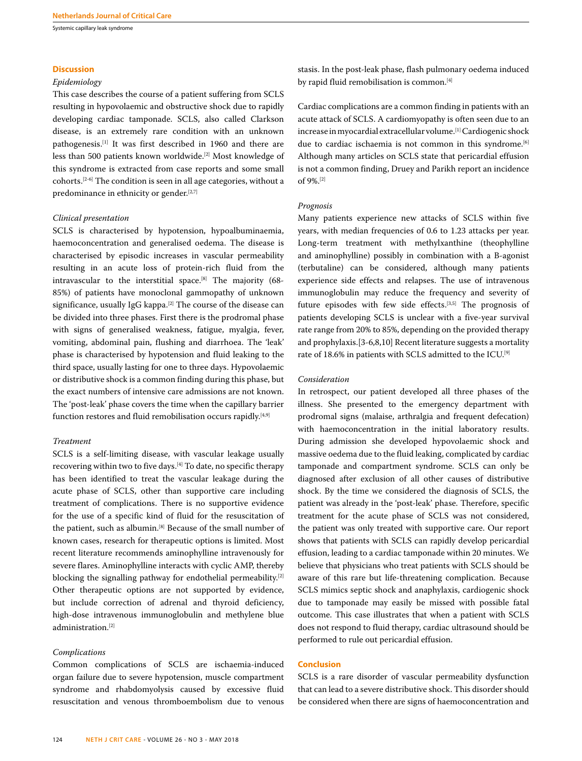Systemic capillary leak syndrome

#### **Discussion**

#### *Epidemiology*

This case describes the course of a patient suffering from SCLS resulting in hypovolaemic and obstructive shock due to rapidly developing cardiac tamponade. SCLS, also called Clarkson disease, is an extremely rare condition with an unknown pathogenesis.[1] It was first described in 1960 and there are less than 500 patients known worldwide.[2] Most knowledge of this syndrome is extracted from case reports and some small cohorts.[2-6] The condition is seen in all age categories, without a predominance in ethnicity or gender.<sup>[2,7]</sup>

#### *Clinical presentation*

SCLS is characterised by hypotension, hypoalbuminaemia, haemoconcentration and generalised oedema. The disease is characterised by episodic increases in vascular permeability resulting in an acute loss of protein-rich fluid from the intravascular to the interstitial space.[8] The majority (68- 85%) of patients have monoclonal gammopathy of unknown significance, usually IgG kappa.<sup>[2]</sup> The course of the disease can be divided into three phases. First there is the prodromal phase with signs of generalised weakness, fatigue, myalgia, fever, vomiting, abdominal pain, flushing and diarrhoea. The 'leak' phase is characterised by hypotension and fluid leaking to the third space, usually lasting for one to three days. Hypovolaemic or distributive shock is a common finding during this phase, but the exact numbers of intensive care admissions are not known. The 'post-leak' phase covers the time when the capillary barrier function restores and fluid remobilisation occurs rapidly.<sup>[4,9]</sup>

#### *Treatment*

SCLS is a self-limiting disease, with vascular leakage usually recovering within two to five days.[4] To date, no specific therapy has been identified to treat the vascular leakage during the acute phase of SCLS, other than supportive care including treatment of complications. There is no supportive evidence for the use of a specific kind of fluid for the resuscitation of the patient, such as albumin.[8] Because of the small number of known cases, research for therapeutic options is limited. Most recent literature recommends aminophylline intravenously for severe flares. Aminophylline interacts with cyclic AMP, thereby blocking the signalling pathway for endothelial permeability.[2] Other therapeutic options are not supported by evidence, but include correction of adrenal and thyroid deficiency, high-dose intravenous immunoglobulin and methylene blue administration.[2]

#### *Complications*

Common complications of SCLS are ischaemia-induced organ failure due to severe hypotension, muscle compartment syndrome and rhabdomyolysis caused by excessive fluid resuscitation and venous thromboembolism due to venous

stasis. In the post-leak phase, flash pulmonary oedema induced by rapid fluid remobilisation is common.[4]

Cardiac complications are a common finding in patients with an acute attack of SCLS. A cardiomyopathy is often seen due to an increase in myocardial extracellular volume.[1] Cardiogenic shock due to cardiac ischaemia is not common in this syndrome.<sup>[6]</sup> Although many articles on SCLS state that pericardial effusion is not a common finding, Druey and Parikh report an incidence of 9%.[2]

## *Prognosis*

Many patients experience new attacks of SCLS within five years, with median frequencies of 0.6 to 1.23 attacks per year. Long-term treatment with methylxanthine (theophylline and aminophylline) possibly in combination with a B-agonist (terbutaline) can be considered, although many patients experience side effects and relapses. The use of intravenous immunoglobulin may reduce the frequency and severity of future episodes with few side effects.[3,5] The prognosis of patients developing SCLS is unclear with a five-year survival rate range from 20% to 85%, depending on the provided therapy and prophylaxis.[3-6,8,10] Recent literature suggests a mortality rate of 18.6% in patients with SCLS admitted to the ICU.[9]

#### *Consideration*

In retrospect, our patient developed all three phases of the illness. She presented to the emergency department with prodromal signs (malaise, arthralgia and frequent defecation) with haemoconcentration in the initial laboratory results. During admission she developed hypovolaemic shock and massive oedema due to the fluid leaking, complicated by cardiac tamponade and compartment syndrome. SCLS can only be diagnosed after exclusion of all other causes of distributive shock. By the time we considered the diagnosis of SCLS, the patient was already in the 'post-leak' phase. Therefore, specific treatment for the acute phase of SCLS was not considered, the patient was only treated with supportive care. Our report shows that patients with SCLS can rapidly develop pericardial effusion, leading to a cardiac tamponade within 20 minutes. We believe that physicians who treat patients with SCLS should be aware of this rare but life-threatening complication. Because SCLS mimics septic shock and anaphylaxis, cardiogenic shock due to tamponade may easily be missed with possible fatal outcome. This case illustrates that when a patient with SCLS does not respond to fluid therapy, cardiac ultrasound should be performed to rule out pericardial effusion.

## **Conclusion**

SCLS is a rare disorder of vascular permeability dysfunction that can lead to a severe distributive shock. This disorder should be considered when there are signs of haemoconcentration and